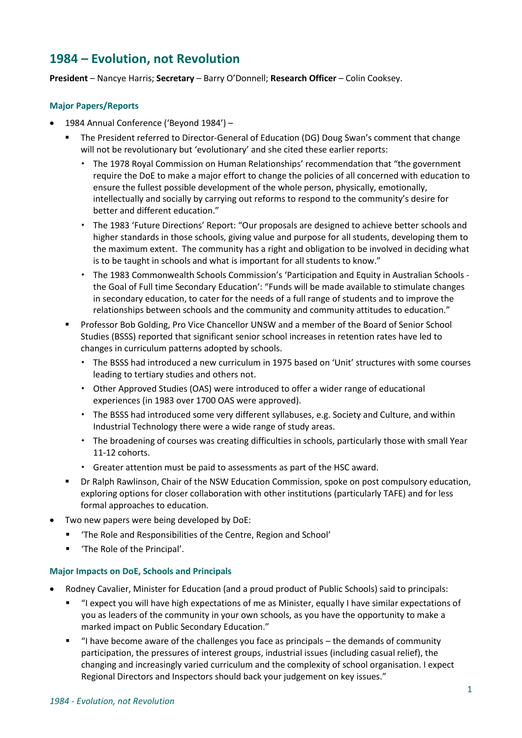# **1984 – Evolution, not Revolution**

**President** – Nancye Harris; **Secretary** – Barry O'Donnell; **Research Officer** – Colin Cooksey.

## **Major Papers/Reports**

- 1984 Annual Conference ('Beyond 1984')
	- The President referred to Director-General of Education (DG) Doug Swan's comment that change will not be revolutionary but 'evolutionary' and she cited these earlier reports:
		- \* The 1978 Royal Commission on Human Relationships' recommendation that "the government require the DoE to make a major effort to change the policies of all concerned with education to ensure the fullest possible development of the whole person, physically, emotionally, intellectually and socially by carrying out reforms to respond to the community's desire for better and different education."
		- The 1983 'Future Directions' Report: "Our proposals are designed to achieve better schools and higher standards in those schools, giving value and purpose for all students, developing them to the maximum extent. The community has a right and obligation to be involved in deciding what is to be taught in schools and what is important for all students to know."
		- \* The 1983 Commonwealth Schools Commission's 'Participation and Equity in Australian Schools the Goal of Full time Secondary Education': "Funds will be made available to stimulate changes in secondary education, to cater for the needs of a full range of students and to improve the relationships between schools and the community and community attitudes to education."
	- Professor Bob Golding, Pro Vice Chancellor UNSW and a member of the Board of Senior School Studies (BSSS) reported that significant senior school increases in retention rates have led to changes in curriculum patterns adopted by schools.
		- \* The BSSS had introduced a new curriculum in 1975 based on 'Unit' structures with some courses leading to tertiary studies and others not.
		- Other Approved Studies (OAS) were introduced to offer a wider range of educational experiences (in 1983 over 1700 OAS were approved).
		- The BSSS had introduced some very different syllabuses, e.g. Society and Culture, and within Industrial Technology there were a wide range of study areas.
		- \* The broadening of courses was creating difficulties in schools, particularly those with small Year 11-12 cohorts.
		- Greater attention must be paid to assessments as part of the HSC award.
	- Dr Ralph Rawlinson, Chair of the NSW Education Commission, spoke on post compulsory education, exploring options for closer collaboration with other institutions (particularly TAFE) and for less formal approaches to education.
	- Two new papers were being developed by DoE:
		- 'The Role and Responsibilities of the Centre, Region and School'
		- 'The Role of the Principal'.

## **Major Impacts on DoE, Schools and Principals**

- Rodney Cavalier, Minister for Education (and a proud product of Public Schools) said to principals:
	- "I expect you will have high expectations of me as Minister, equally I have similar expectations of you as leaders of the community in your own schools, as you have the opportunity to make a marked impact on Public Secondary Education."
	- "I have become aware of the challenges you face as principals the demands of community participation, the pressures of interest groups, industrial issues (including casual relief), the changing and increasingly varied curriculum and the complexity of school organisation. I expect Regional Directors and Inspectors should back your judgement on key issues."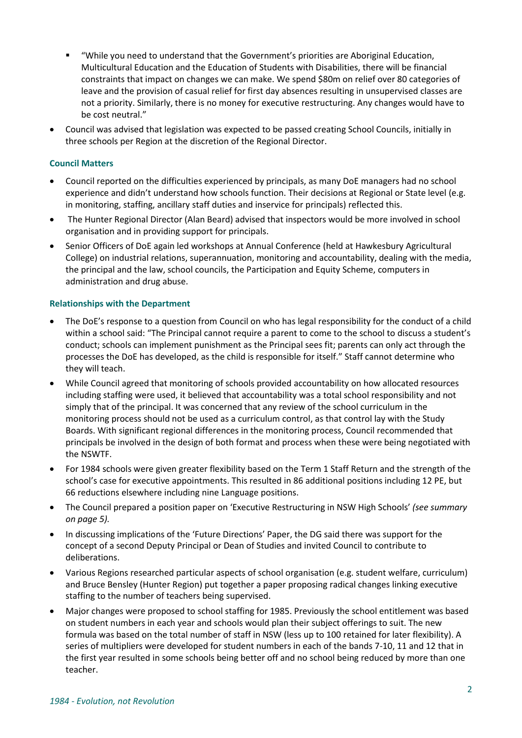- "While you need to understand that the Government's priorities are Aboriginal Education, Multicultural Education and the Education of Students with Disabilities, there will be financial constraints that impact on changes we can make. We spend \$80m on relief over 80 categories of leave and the provision of casual relief for first day absences resulting in unsupervised classes are not a priority. Similarly, there is no money for executive restructuring. Any changes would have to be cost neutral."
- Council was advised that legislation was expected to be passed creating School Councils, initially in three schools per Region at the discretion of the Regional Director.

## **Council Matters**

- Council reported on the difficulties experienced by principals, as many DoE managers had no school experience and didn't understand how schools function. Their decisions at Regional or State level (e.g. in monitoring, staffing, ancillary staff duties and inservice for principals) reflected this.
- The Hunter Regional Director (Alan Beard) advised that inspectors would be more involved in school organisation and in providing support for principals.
- Senior Officers of DoE again led workshops at Annual Conference (held at Hawkesbury Agricultural College) on industrial relations, superannuation, monitoring and accountability, dealing with the media, the principal and the law, school councils, the Participation and Equity Scheme, computers in administration and drug abuse.

### **Relationships with the Department**

- The DoE's response to a question from Council on who has legal responsibility for the conduct of a child within a school said: "The Principal cannot require a parent to come to the school to discuss a student's conduct; schools can implement punishment as the Principal sees fit; parents can only act through the processes the DoE has developed, as the child is responsible for itself." Staff cannot determine who they will teach.
- While Council agreed that monitoring of schools provided accountability on how allocated resources including staffing were used, it believed that accountability was a total school responsibility and not simply that of the principal. It was concerned that any review of the school curriculum in the monitoring process should not be used as a curriculum control, as that control lay with the Study Boards. With significant regional differences in the monitoring process, Council recommended that principals be involved in the design of both format and process when these were being negotiated with the NSWTF.
- For 1984 schools were given greater flexibility based on the Term 1 Staff Return and the strength of the school's case for executive appointments. This resulted in 86 additional positions including 12 PE, but 66 reductions elsewhere including nine Language positions.
- The Council prepared a position paper on 'Executive Restructuring in NSW High Schools' *(see summary on page 5).*
- In discussing implications of the 'Future Directions' Paper, the DG said there was support for the concept of a second Deputy Principal or Dean of Studies and invited Council to contribute to deliberations.
- Various Regions researched particular aspects of school organisation (e.g. student welfare, curriculum) and Bruce Bensley (Hunter Region) put together a paper proposing radical changes linking executive staffing to the number of teachers being supervised.
- Major changes were proposed to school staffing for 1985. Previously the school entitlement was based on student numbers in each year and schools would plan their subject offerings to suit. The new formula was based on the total number of staff in NSW (less up to 100 retained for later flexibility). A series of multipliers were developed for student numbers in each of the bands 7-10, 11 and 12 that in the first year resulted in some schools being better off and no school being reduced by more than one teacher.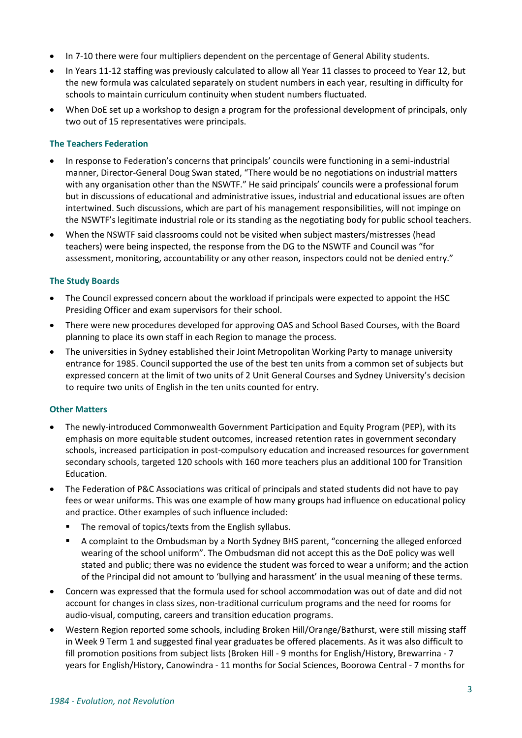- In 7-10 there were four multipliers dependent on the percentage of General Ability students.
- In Years 11-12 staffing was previously calculated to allow all Year 11 classes to proceed to Year 12, but the new formula was calculated separately on student numbers in each year, resulting in difficulty for schools to maintain curriculum continuity when student numbers fluctuated.
- When DoE set up a workshop to design a program for the professional development of principals, only two out of 15 representatives were principals.

#### **The Teachers Federation**

- In response to Federation's concerns that principals' councils were functioning in a semi-industrial manner, Director-General Doug Swan stated, "There would be no negotiations on industrial matters with any organisation other than the NSWTF." He said principals' councils were a professional forum but in discussions of educational and administrative issues, industrial and educational issues are often intertwined. Such discussions, which are part of his management responsibilities, will not impinge on the NSWTF's legitimate industrial role or its standing as the negotiating body for public school teachers.
- When the NSWTF said classrooms could not be visited when subject masters/mistresses (head teachers) were being inspected, the response from the DG to the NSWTF and Council was "for assessment, monitoring, accountability or any other reason, inspectors could not be denied entry."

#### **The Study Boards**

- The Council expressed concern about the workload if principals were expected to appoint the HSC Presiding Officer and exam supervisors for their school.
- There were new procedures developed for approving OAS and School Based Courses, with the Board planning to place its own staff in each Region to manage the process.
- The universities in Sydney established their Joint Metropolitan Working Party to manage university entrance for 1985. Council supported the use of the best ten units from a common set of subjects but expressed concern at the limit of two units of 2 Unit General Courses and Sydney University's decision to require two units of English in the ten units counted for entry.

#### **Other Matters**

- The newly-introduced Commonwealth Government Participation and Equity Program (PEP), with its emphasis on more equitable student outcomes, increased retention rates in government secondary schools, increased participation in post-compulsory education and increased resources for government secondary schools, targeted 120 schools with 160 more teachers plus an additional 100 for Transition Education.
- The Federation of P&C Associations was critical of principals and stated students did not have to pay fees or wear uniforms. This was one example of how many groups had influence on educational policy and practice. Other examples of such influence included:
	- The removal of topics/texts from the English syllabus.
	- A complaint to the Ombudsman by a North Sydney BHS parent, "concerning the alleged enforced wearing of the school uniform". The Ombudsman did not accept this as the DoE policy was well stated and public; there was no evidence the student was forced to wear a uniform; and the action of the Principal did not amount to 'bullying and harassment' in the usual meaning of these terms.
- Concern was expressed that the formula used for school accommodation was out of date and did not account for changes in class sizes, non-traditional curriculum programs and the need for rooms for audio-visual, computing, careers and transition education programs.
- Western Region reported some schools, including Broken Hill/Orange/Bathurst, were still missing staff in Week 9 Term 1 and suggested final year graduates be offered placements. As it was also difficult to fill promotion positions from subject lists (Broken Hill - 9 months for English/History, Brewarrina - 7 years for English/History, Canowindra - 11 months for Social Sciences, Boorowa Central - 7 months for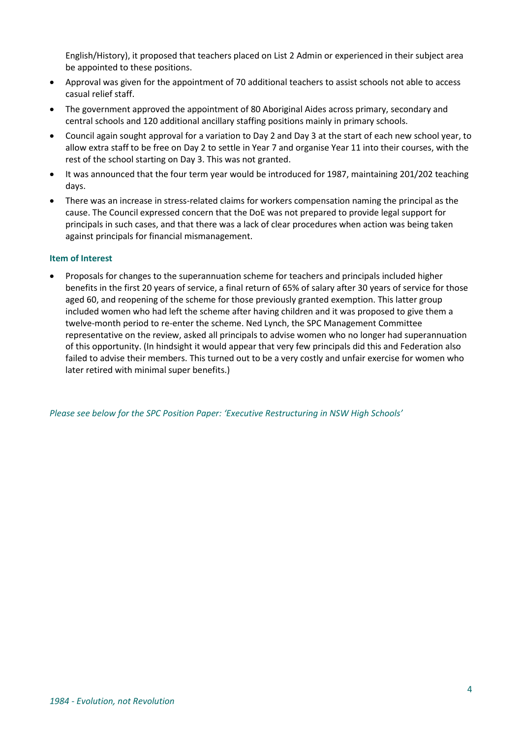English/History), it proposed that teachers placed on List 2 Admin or experienced in their subject area be appointed to these positions.

- Approval was given for the appointment of 70 additional teachers to assist schools not able to access casual relief staff.
- The government approved the appointment of 80 Aboriginal Aides across primary, secondary and central schools and 120 additional ancillary staffing positions mainly in primary schools.
- Council again sought approval for a variation to Day 2 and Day 3 at the start of each new school year, to allow extra staff to be free on Day 2 to settle in Year 7 and organise Year 11 into their courses, with the rest of the school starting on Day 3. This was not granted.
- It was announced that the four term year would be introduced for 1987, maintaining 201/202 teaching days.
- There was an increase in stress-related claims for workers compensation naming the principal as the cause. The Council expressed concern that the DoE was not prepared to provide legal support for principals in such cases, and that there was a lack of clear procedures when action was being taken against principals for financial mismanagement.

### **Item of Interest**

• Proposals for changes to the superannuation scheme for teachers and principals included higher benefits in the first 20 years of service, a final return of 65% of salary after 30 years of service for those aged 60, and reopening of the scheme for those previously granted exemption. This latter group included women who had left the scheme after having children and it was proposed to give them a twelve-month period to re-enter the scheme. Ned Lynch, the SPC Management Committee representative on the review, asked all principals to advise women who no longer had superannuation of this opportunity. (In hindsight it would appear that very few principals did this and Federation also failed to advise their members. This turned out to be a very costly and unfair exercise for women who later retired with minimal super benefits.)

*Please see below for the SPC Position Paper: 'Executive Restructuring in NSW High Schools'*